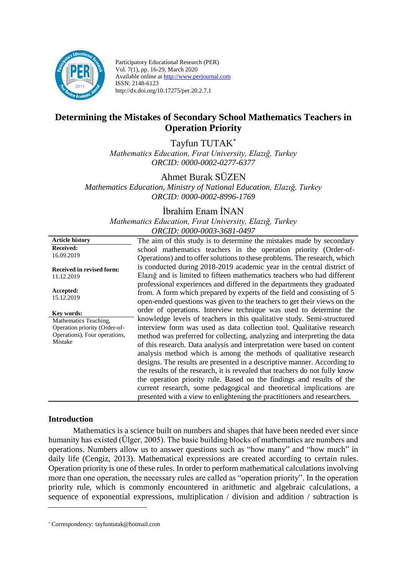

Participatory Educational Research (PER) Vol. 7(1), pp. 16-29, March 2020 Available online at http://www.perjournal.com ISSN: 2148-6123 http://dx.doi.org/10.17275/per.20.2.7.1

# **Determining the Mistakes of Secondary School Mathematics Teachers in Operation Priority**

Tayfun TUTAK\* *Mathematics Education, Fırat University, Elazığ, Turkey ORCID: 0000-0002-0277-6377*

Ahmet Burak SÜZEN *Mathematics Education, Ministry of National Education, Elazığ, Turkey ORCID: 0000-0002-8996-1769*

İbrahim Enam İNAN

*Mathematics Education, Fırat University, Elazığ, Turkey ORCID: 0000-0003-3681-0497*

| <b>Article history</b>              | The aim of this study is to determine the mistakes made by secondary                                                                                                                                                           |  |  |  |  |
|-------------------------------------|--------------------------------------------------------------------------------------------------------------------------------------------------------------------------------------------------------------------------------|--|--|--|--|
| <b>Received:</b>                    | school mathematics teachers in the operation priority (Order-of-                                                                                                                                                               |  |  |  |  |
| 16.09.2019                          | Operations) and to offer solutions to these problems. The research, which                                                                                                                                                      |  |  |  |  |
| <b>Received in revised form:</b>    | is conducted during 2018-2019 academic year in the central district of                                                                                                                                                         |  |  |  |  |
| 11.12.2019                          | Elazig and is limited to fifteen mathematics teachers who had different                                                                                                                                                        |  |  |  |  |
| Accepted:<br>15.12.2019             | professional experiences and differed in the departments they graduated<br>from. A form which prepared by experts of the field and consisting of 5<br>open-ended questions was given to the teachers to get their views on the |  |  |  |  |
| Key words:<br>Mathematics Teaching, | order of operations. Interview technique was used to determine the<br>knowledge levels of teachers in this qualitative study. Semi-structured                                                                                  |  |  |  |  |
| Operation priority (Order-of-       | interview form was used as data collection tool. Qualitative research                                                                                                                                                          |  |  |  |  |
| Operations), Four operations,       | method was preferred for collecting, analyzing and interpreting the data                                                                                                                                                       |  |  |  |  |
| Mistake                             | of this research. Data analysis and interpretation were based on content                                                                                                                                                       |  |  |  |  |
|                                     | analysis method which is among the methods of qualitative research                                                                                                                                                             |  |  |  |  |
|                                     | designs. The results are presented in a descriptive manner. According to                                                                                                                                                       |  |  |  |  |
|                                     | the results of the research, it is revealed that teachers do not fully know                                                                                                                                                    |  |  |  |  |
|                                     | the operation priority rule. Based on the findings and results of the                                                                                                                                                          |  |  |  |  |
|                                     | current research, some pedagogical and theoretical implications are<br>presented with a view to enlightening the practitioners and researchers.                                                                                |  |  |  |  |
|                                     |                                                                                                                                                                                                                                |  |  |  |  |

#### **Introduction**

<u>.</u>

Mathematics is a science built on numbers and shapes that have been needed ever since humanity has existed (Ülger, 2005). The basic building blocks of mathematics are numbers and operations. Numbers allow us to answer questions such as "how many" and "how much" in daily life (Cengiz, 2013). Mathematical expressions are created according to certain rules. Operation priority is one of these rules. In order to perform mathematical calculations involving more than one operation, the necessary rules are called as "operation priority". In the operation priority rule, which is commonly encountered in arithmetic and algebraic calculations, a sequence of exponential expressions, multiplication / division and addition / subtraction is

<sup>\*</sup> Correspondency: tayfuntutak@hotmail.com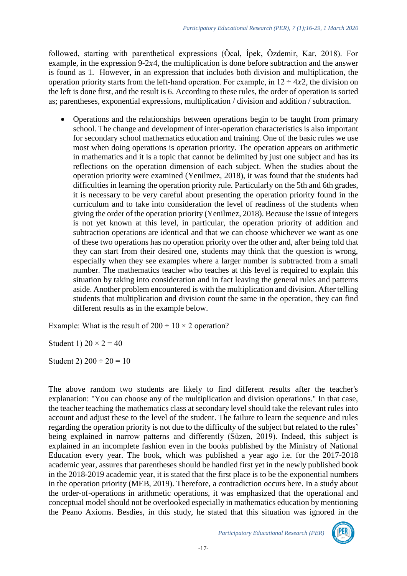followed, starting with parenthetical expressions (Öcal, İpek, Özdemir, Kar, 2018). For example, in the expression  $9-2x^4$ , the multiplication is done before subtraction and the answer is found as 1. However, in an expression that includes both division and multiplication, the operation priority starts from the left-hand operation. For example, in  $12 \div 4x2$ , the division on the left is done first, and the result is 6. According to these rules, the order of operation is sorted as; parentheses, exponential expressions, multiplication / division and addition / subtraction.

• Operations and the relationships between operations begin to be taught from primary school. The change and development of inter-operation characteristics is also important for secondary school mathematics education and training. One of the basic rules we use most when doing operations is operation priority. The operation appears on arithmetic in mathematics and it is a topic that cannot be delimited by just one subject and has its reflections on the operation dimension of each subject. When the studies about the operation priority were examined (Yenilmez, 2018), it was found that the students had difficulties in learning the operation priority rule. Particularly on the 5th and 6th grades, it is necessary to be very careful about presenting the operation priority found in the curriculum and to take into consideration the level of readiness of the students when giving the order of the operation priority (Yenilmez, 2018). Because the issue of integers is not yet known at this level, in particular, the operation priority of addition and subtraction operations are identical and that we can choose whichever we want as one of these two operations has no operation priority over the other and, after being told that they can start from their desired one, students may think that the question is wrong, especially when they see examples where a larger number is subtracted from a small number. The mathematics teacher who teaches at this level is required to explain this situation by taking into consideration and in fact leaving the general rules and patterns aside. Another problem encountered is with the multiplication and division. After telling students that multiplication and division count the same in the operation, they can find different results as in the example below.

Example: What is the result of  $200 \div 10 \times 2$  operation?

Student 1)  $20 \times 2 = 40$ 

Student 2)  $200 \div 20 = 10$ 

The above random two students are likely to find different results after the teacher's explanation: "You can choose any of the multiplication and division operations." In that case, the teacher teaching the mathematics class at secondary level should take the relevant rules into account and adjust these to the level of the student. The failure to learn the sequence and rules regarding the operation priority is not due to the difficulty of the subject but related to the rules' being explained in narrow patterns and differently (Süzen, 2019). Indeed, this subject is explained in an incomplete fashion even in the books published by the Ministry of National Education every year. The book, which was published a year ago i.e. for the 2017-2018 academic year, assures that parentheses should be handled first yet in the newly published book in the 2018-2019 academic year, it is stated that the first place is to be the exponential numbers in the operation priority (MEB, 2019). Therefore, a contradiction occurs here. In a study about the order-of-operations in arithmetic operations, it was emphasized that the operational and conceptual model should not be overlooked especially in mathematics education by mentioning the Peano Axioms. Besdies, in this study, he stated that this situation was ignored in the

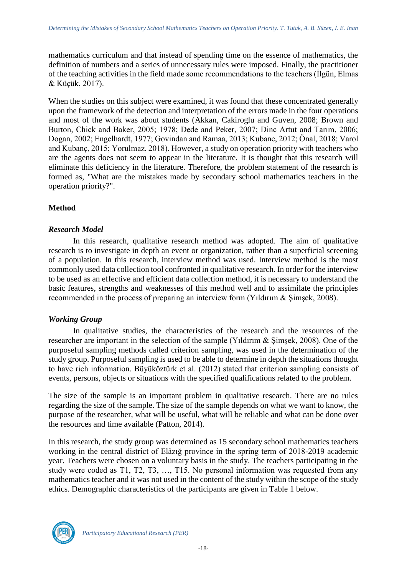mathematics curriculum and that instead of spending time on the essence of mathematics, the definition of numbers and a series of unnecessary rules were imposed. Finally, the practitioner of the teaching activities in the field made some recommendations to the teachers (İlgün, Elmas & Küçük, 2017).

When the studies on this subject were examined, it was found that these concentrated generally upon the framework of the detection and interpretation of the errors made in the four operations and most of the work was about students (Akkan, Cakiroglu and Guven, 2008; Brown and Burton, Chick and Baker, 2005; 1978; Dede and Peker, 2007; Dinc Artut and Tarım, 2006; Dogan, 2002; Engelhardt, 1977; Govindan and Ramaa, 2013; Kubanc, 2012; Önal, 2018; Varol and Kubanç, 2015; Yorulmaz, 2018). However, a study on operation priority with teachers who are the agents does not seem to appear in the literature. It is thought that this research will eliminate this deficiency in the literature. Therefore, the problem statement of the research is formed as, "What are the mistakes made by secondary school mathematics teachers in the operation priority?".

## **Method**

## *Research Model*

In this research, qualitative research method was adopted. The aim of qualitative research is to investigate in depth an event or organization, rather than a superficial screening of a population. In this research, interview method was used. Interview method is the most commonly used data collection tool confronted in qualitative research. In order for the interview to be used as an effective and efficient data collection method, it is necessary to understand the basic features, strengths and weaknesses of this method well and to assimilate the principles recommended in the process of preparing an interview form (Yıldırım & Şimşek, 2008).

## *Working Group*

In qualitative studies, the characteristics of the research and the resources of the researcher are important in the selection of the sample (Yıldırım & Şimşek, 2008). One of the purposeful sampling methods called criterion sampling, was used in the determination of the study group. Purposeful sampling is used to be able to determine in depth the situations thought to have rich information. Büyüköztürk et al. (2012) stated that criterion sampling consists of events, persons, objects or situations with the specified qualifications related to the problem.

The size of the sample is an important problem in qualitative research. There are no rules regarding the size of the sample. The size of the sample depends on what we want to know, the purpose of the researcher, what will be useful, what will be reliable and what can be done over the resources and time available (Patton, 2014).

In this research, the study group was determined as 15 secondary school mathematics teachers working in the central district of Elâzığ province in the spring term of 2018-2019 academic year. Teachers were chosen on a voluntary basis in the study. The teachers participating in the study were coded as T1, T2, T3, …, T15. No personal information was requested from any mathematics teacher and it was not used in the content of the study within the scope of the study ethics. Demographic characteristics of the participants are given in Table 1 below.

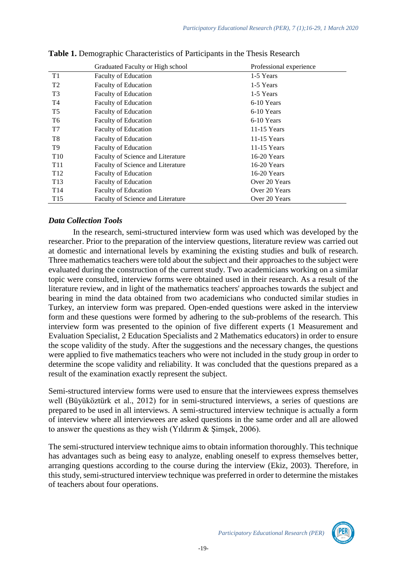|                 | Graduated Faculty or High school  | Professional experience |
|-----------------|-----------------------------------|-------------------------|
| T1              | <b>Faculty of Education</b>       | 1-5 Years               |
| T <sub>2</sub>  | <b>Faculty of Education</b>       | 1-5 Years               |
| T <sub>3</sub>  | <b>Faculty of Education</b>       | 1-5 Years               |
| T4              | <b>Faculty of Education</b>       | 6-10 Years              |
| T <sub>5</sub>  | <b>Faculty of Education</b>       | 6-10 Years              |
| T6              | <b>Faculty of Education</b>       | 6-10 Years              |
| T7              | <b>Faculty of Education</b>       | $11-15$ Years           |
| T8              | <b>Faculty of Education</b>       | $11-15$ Years           |
| T9              | <b>Faculty of Education</b>       | $11-15$ Years           |
| T <sub>10</sub> | Faculty of Science and Literature | $16-20$ Years           |
| T <sub>11</sub> | Faculty of Science and Literature | $16-20$ Years           |
| T <sub>12</sub> | <b>Faculty of Education</b>       | $16-20$ Years           |
| T <sub>13</sub> | Faculty of Education              | Over 20 Years           |
| T <sub>14</sub> | <b>Faculty of Education</b>       | Over 20 Years           |
| T <sub>15</sub> | Faculty of Science and Literature | Over 20 Years           |

**Table 1.** Demographic Characteristics of Participants in the Thesis Research

## *Data Collection Tools*

In the research, semi-structured interview form was used which was developed by the researcher. Prior to the preparation of the interview questions, literature review was carried out at domestic and international levels by examining the existing studies and bulk of research. Three mathematics teachers were told about the subject and their approaches to the subject were evaluated during the construction of the current study. Two academicians working on a similar topic were consulted, interview forms were obtained used in their research. As a result of the literature review, and in light of the mathematics teachers' approaches towards the subject and bearing in mind the data obtained from two academicians who conducted similar studies in Turkey, an interview form was prepared. Open-ended questions were asked in the interview form and these questions were formed by adhering to the sub-problems of the research. This interview form was presented to the opinion of five different experts (1 Measurement and Evaluation Specialist, 2 Education Specialists and 2 Mathematics educators) in order to ensure the scope validity of the study. After the suggestions and the necessary changes, the questions were applied to five mathematics teachers who were not included in the study group in order to determine the scope validity and reliability. It was concluded that the questions prepared as a result of the examination exactly represent the subject.

Semi-structured interview forms were used to ensure that the interviewees express themselves well (Büyüköztürk et al., 2012) for in semi-structured interviews, a series of questions are prepared to be used in all interviews. A semi-structured interview technique is actually a form of interview where all interviewees are asked questions in the same order and all are allowed to answer the questions as they wish (Yıldırım & Şimşek, 2006).

The semi-structured interview technique aims to obtain information thoroughly. This technique has advantages such as being easy to analyze, enabling oneself to express themselves better, arranging questions according to the course during the interview (Ekiz, 2003). Therefore, in this study, semi-structured interview technique was preferred in order to determine the mistakes of teachers about four operations.

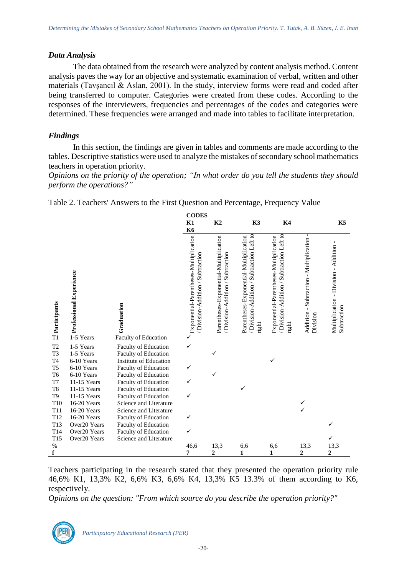#### *Data Analysis*

The data obtained from the research were analyzed by content analysis method. Content analysis paves the way for an objective and systematic examination of verbal, written and other materials (Tavşancıl & Aslan, 2001). In the study, interview forms were read and coded after being transferred to computer. Categories were created from these codes. According to the responses of the interviewers, frequencies and percentages of the codes and categories were determined. These frequencies were arranged and made into tables to facilitate interpretation.

## *Findings*

In this section, the findings are given in tables and comments are made according to the tables. Descriptive statistics were used to analyze the mistakes of secondary school mathematics teachers in operation priority.

*Opinions on the priority of the operation; "In what order do you tell the students they should perform the operations?"*

Table 2. Teachers' Answers to the First Question and Percentage, Frequency Value



Teachers participating in the research stated that they presented the operation priority rule 46,6% K1, 13,3% K2, 6,6% K3, 6,6% K4, 13,3% K5 13.3% of them according to K6, respectively.

*Opinions on the question: "From which source do you describe the operation priority?"*

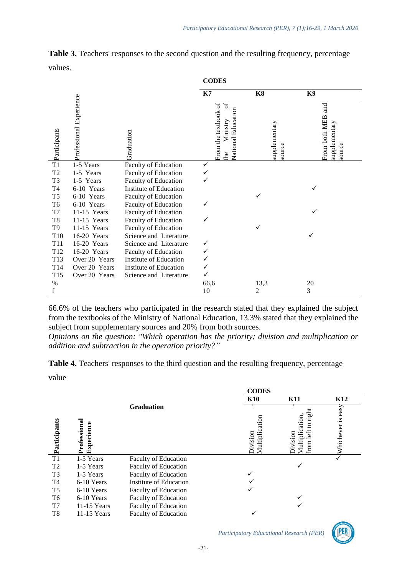|                     |                         |                               | <b>CODES</b>                                                       |                         |                                                          |
|---------------------|-------------------------|-------------------------------|--------------------------------------------------------------------|-------------------------|----------------------------------------------------------|
|                     |                         |                               | K7                                                                 | K <sub>8</sub>          | K9                                                       |
| Participants        | Professional Experience | Graduation                    | From the textbook of<br>್<br>National Education<br>Ministry<br>the | supplementary<br>source | $_{\rm and}$<br>From both MEB<br>supplementary<br>source |
| $\overline{T1}$     | 1-5 Years               | Faculty of Education          | ✓                                                                  |                         |                                                          |
| T2                  | 1-5 Years               | Faculty of Education          |                                                                    |                         |                                                          |
| T <sub>3</sub>      | 1-5 Years               | Faculty of Education          |                                                                    |                         |                                                          |
| T <sub>4</sub>      | 6-10 Years              | <b>Institute of Education</b> |                                                                    |                         |                                                          |
| T <sub>5</sub>      | 6-10 Years              | Faculty of Education          |                                                                    |                         |                                                          |
| T <sub>6</sub>      | 6-10 Years              | Faculty of Education          | ✓                                                                  |                         |                                                          |
| $\operatorname{T7}$ | 11-15 Years             | Faculty of Education          |                                                                    |                         |                                                          |
| T <sub>8</sub>      | 11-15 Years             | Faculty of Education          |                                                                    |                         |                                                          |
| T <sub>9</sub>      | 11-15 Years             | Faculty of Education          |                                                                    |                         |                                                          |
| T <sub>10</sub>     | 16-20 Years             | Science and Literature        |                                                                    |                         | ✓                                                        |
| <b>T11</b>          | 16-20 Years             | Science and Literature        | ✓                                                                  |                         |                                                          |
| T12                 | 16-20 Years             | Faculty of Education          |                                                                    |                         |                                                          |
| T13                 | Over 20 Years           | Institute of Education        |                                                                    |                         |                                                          |
| T14                 | Over 20 Years           | Institute of Education        |                                                                    |                         |                                                          |
| T15                 | Over 20 Years           | Science and Literature        |                                                                    |                         |                                                          |
| $\%$                |                         |                               | 66,6                                                               | 13,3                    | 20                                                       |
|                     |                         |                               | 10                                                                 | 2                       | 3                                                        |

**Table 3.** Teachers' responses to the second question and the resulting frequency, percentage values.

66.6% of the teachers who participated in the research stated that they explained the subject from the textbooks of the Ministry of National Education, 13.3% stated that they explained the subject from supplementary sources and 20% from both sources.

*Opinions on the question: "Which operation has the priority; division and multiplication or addition and subtraction in the operation priority?"*

**Table 4.** Teachers' responses to the third question and the resulting frequency, percentage

value

|                |                                |                             | <b>CODES</b>                   |                                                  |                                    |
|----------------|--------------------------------|-----------------------------|--------------------------------|--------------------------------------------------|------------------------------------|
|                |                                |                             | <b>K10</b>                     | <b>K11</b>                                       | K <sub>12</sub>                    |
| Participants   | Professiona<br>ence<br>Experio | <b>Graduation</b>           | ation<br>Multiplic<br>division | rigi<br>Multiplication.<br>left<br>vision<br>mor | easy<br>$\mathbf{S}.$<br>Whichever |
| T1             | 1-5 Years                      | <b>Faculty of Education</b> |                                |                                                  | $\checkmark$                       |
| T <sub>2</sub> | 1-5 Years                      | Faculty of Education        |                                |                                                  |                                    |
| T <sub>3</sub> | 1-5 Years                      | <b>Faculty of Education</b> |                                |                                                  |                                    |
| T <sub>4</sub> | 6-10 Years                     | Institute of Education      |                                |                                                  |                                    |
| T <sub>5</sub> | 6-10 Years                     | Faculty of Education        |                                |                                                  |                                    |
| T <sub>6</sub> | 6-10 Years                     | <b>Faculty of Education</b> |                                |                                                  |                                    |
| T7             | $11-15$ Years                  | <b>Faculty of Education</b> |                                |                                                  |                                    |
| T <sub>8</sub> | $11-15$ Years                  | <b>Faculty of Education</b> | ✓                              |                                                  |                                    |

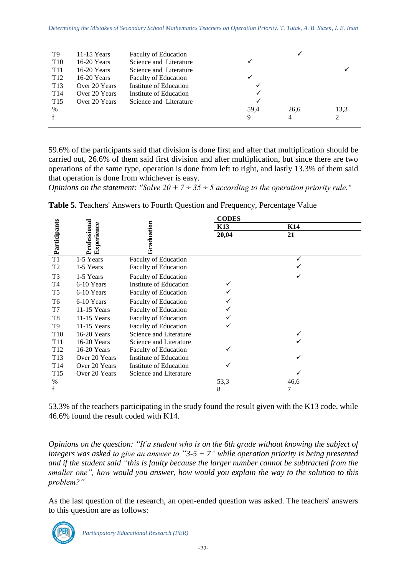| T9              | $11-15$ Years | <b>Faculty of Education</b> |      | √    |                |
|-----------------|---------------|-----------------------------|------|------|----------------|
| T <sub>10</sub> | $16-20$ Years | Science and Literature      | ✓    |      |                |
| T <sub>11</sub> | $16-20$ Years | Science and Literature      |      |      |                |
| T <sub>12</sub> | $16-20$ Years | <b>Faculty of Education</b> |      |      |                |
| T <sub>13</sub> | Over 20 Years | Institute of Education      | ✓    |      |                |
| T <sub>14</sub> | Over 20 Years | Institute of Education      | ✓    |      |                |
| T <sub>15</sub> | Over 20 Years | Science and Literature      | ✓    |      |                |
| $\%$            |               |                             | 59.4 | 26,6 | 13.3           |
| $\mathbf{f}$    |               |                             | 9    | 4    | $\mathfrak{D}$ |
|                 |               |                             |      |      |                |

59.6% of the participants said that division is done first and after that multiplication should be carried out, 26.6% of them said first division and after multiplication, but since there are two operations of the same type, operation is done from left to right, and lastly 13.3% of them said that operation is done from whichever is easy.

*Opinions on the statement: "Solve 20 + 7 ÷ 35 ÷ 5 according to the operation priority rule."*

|                 |                            |                             | <b>CODES</b>    |                 |  |
|-----------------|----------------------------|-----------------------------|-----------------|-----------------|--|
|                 |                            |                             | K <sub>13</sub> | K <sub>14</sub> |  |
| Participants    | Professional<br>Experience | raduation                   | 20,04           | 21              |  |
| T1              | 1-5 Years                  | <b>Faculty of Education</b> |                 |                 |  |
| T <sub>2</sub>  | 1-5 Years                  | Faculty of Education        |                 |                 |  |
| T <sub>3</sub>  | 1-5 Years                  | <b>Faculty of Education</b> |                 |                 |  |
| T <sub>4</sub>  | 6-10 Years                 | Institute of Education      | ✓               |                 |  |
| T <sub>5</sub>  | 6-10 Years                 | Faculty of Education        |                 |                 |  |
| T <sub>6</sub>  | 6-10 Years                 | Faculty of Education        |                 |                 |  |
| T7              | $11-15$ Years              | <b>Faculty of Education</b> |                 |                 |  |
| T8              | 11-15 Years                | <b>Faculty of Education</b> |                 |                 |  |
| T <sub>9</sub>  | 11-15 Years                | <b>Faculty of Education</b> |                 |                 |  |
| T <sub>10</sub> | 16-20 Years                | Science and Literature      |                 |                 |  |
| T <sub>11</sub> | 16-20 Years                | Science and Literature      |                 |                 |  |
| T <sub>12</sub> | 16-20 Years                | <b>Faculty of Education</b> |                 |                 |  |
| T <sub>13</sub> | Over 20 Years              | Institute of Education      |                 |                 |  |
| T <sub>14</sub> | Over 20 Years              | Institute of Education      |                 |                 |  |
| T <sub>15</sub> | Over 20 Years              | Science and Literature      |                 |                 |  |
| $\%$            |                            |                             | 53,3            | 46,6            |  |
|                 |                            |                             | 8               | 7               |  |

**Table 5.** Teachers' Answers to Fourth Question and Frequency, Percentage Value

53.3% of the teachers participating in the study found the result given with the K13 code, while 46.6% found the result coded with K14.

*Opinions on the question: "If a student who is on the 6th grade without knowing the subject of integers was asked to give an answer to "3-5 + 7" while operation priority is being presented and if the student said "this is faulty because the larger number cannot be subtracted from the smaller one", how would you answer, how would you explain the way to the solution to this problem?"*

As the last question of the research, an open-ended question was asked. The teachers' answers to this question are as follows:

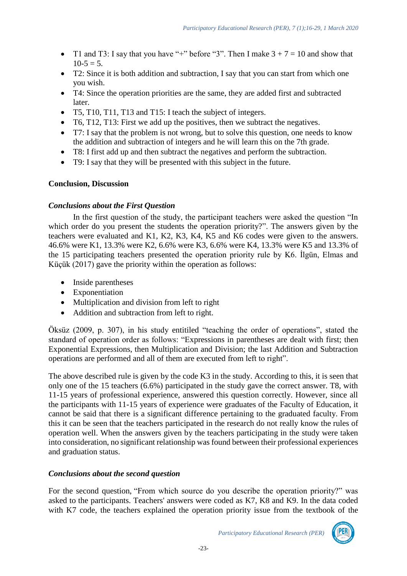- T1 and T3: I say that you have "+" before "3". Then I make  $3 + 7 = 10$  and show that  $10-5 = 5$ .
- T2: Since it is both addition and subtraction, I say that you can start from which one you wish.
- T4: Since the operation priorities are the same, they are added first and subtracted later.
- T5, T10, T11, T13 and T15: I teach the subject of integers.
- T6, T12, T13: First we add up the positives, then we subtract the negatives.
- T7: I say that the problem is not wrong, but to solve this question, one needs to know the addition and subtraction of integers and he will learn this on the 7th grade.
- T8: I first add up and then subtract the negatives and perform the subtraction.
- T9: I say that they will be presented with this subject in the future.

## **Conclusion, Discussion**

## *Conclusions about the First Question*

In the first question of the study, the participant teachers were asked the question "In which order do you present the students the operation priority?". The answers given by the teachers were evaluated and K1, K2, K3, K4, K5 and K6 codes were given to the answers. 46.6% were K1, 13.3% were K2, 6.6% were K3, 6.6% were K4, 13.3% were K5 and 13.3% of the 15 participating teachers presented the operation priority rule by K6. İlgün, Elmas and Küçük (2017) gave the priority within the operation as follows:

- Inside parentheses
- Exponentiation
- Multiplication and division from left to right
- Addition and subtraction from left to right.

Öksüz (2009, p. 307), in his study entitiled "teaching the order of operations", stated the standard of operation order as follows: "Expressions in parentheses are dealt with first; then Exponential Expressions, then Multiplication and Division; the last Addition and Subtraction operations are performed and all of them are executed from left to right".

The above described rule is given by the code K3 in the study. According to this, it is seen that only one of the 15 teachers (6.6%) participated in the study gave the correct answer. T8, with 11-15 years of professional experience, answered this question correctly. However, since all the participants with 11-15 years of experience were graduates of the Faculty of Education, it cannot be said that there is a significant difference pertaining to the graduated faculty. From this it can be seen that the teachers participated in the research do not really know the rules of operation well. When the answers given by the teachers participating in the study were taken into consideration, no significant relationship was found between their professional experiences and graduation status.

## *Conclusions about the second question*

For the second question, "From which source do you describe the operation priority?" was asked to the participants. Teachers' answers were coded as K7, K8 and K9. In the data coded with K7 code, the teachers explained the operation priority issue from the textbook of the

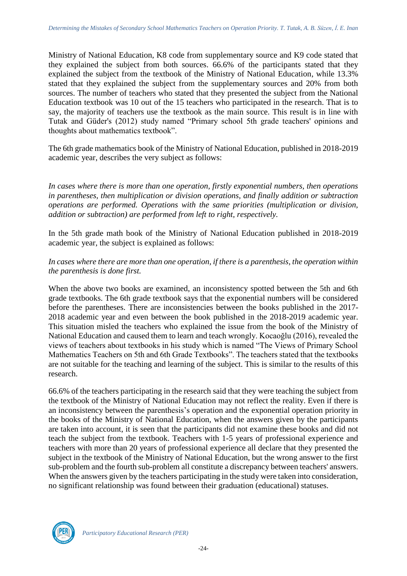Ministry of National Education, K8 code from supplementary source and K9 code stated that they explained the subject from both sources. 66.6% of the participants stated that they explained the subject from the textbook of the Ministry of National Education, while 13.3% stated that they explained the subject from the supplementary sources and 20% from both sources. The number of teachers who stated that they presented the subject from the National Education textbook was 10 out of the 15 teachers who participated in the research. That is to say, the majority of teachers use the textbook as the main source. This result is in line with Tutak and Güder's (2012) study named "Primary school 5th grade teachers' opinions and thoughts about mathematics textbook".

The 6th grade mathematics book of the Ministry of National Education, published in 2018-2019 academic year, describes the very subject as follows:

*In cases where there is more than one operation, firstly exponential numbers, then operations in parentheses, then multiplication or division operations, and finally addition or subtraction operations are performed. Operations with the same priorities (multiplication or division, addition or subtraction) are performed from left to right, respectively.*

In the 5th grade math book of the Ministry of National Education published in 2018-2019 academic year, the subject is explained as follows:

## *In cases where there are more than one operation, if there is a parenthesis, the operation within the parenthesis is done first.*

When the above two books are examined, an inconsistency spotted between the 5th and 6th grade textbooks. The 6th grade textbook says that the exponential numbers will be considered before the parentheses. There are inconsistencies between the books published in the 2017- 2018 academic year and even between the book published in the 2018-2019 academic year. This situation misled the teachers who explained the issue from the book of the Ministry of National Education and caused them to learn and teach wrongly. Kocaoğlu (2016), revealed the views of teachers about textbooks in his study which is named "The Views of Primary School Mathematics Teachers on 5th and 6th Grade Textbooks". The teachers stated that the textbooks are not suitable for the teaching and learning of the subject. This is similar to the results of this research.

66.6% of the teachers participating in the research said that they were teaching the subject from the textbook of the Ministry of National Education may not reflect the reality. Even if there is an inconsistency between the parenthesis's operation and the exponential operation priority in the books of the Ministry of National Education, when the answers given by the participants are taken into account, it is seen that the participants did not examine these books and did not teach the subject from the textbook. Teachers with 1-5 years of professional experience and teachers with more than 20 years of professional experience all declare that they presented the subject in the textbook of the Ministry of National Education, but the wrong answer to the first sub-problem and the fourth sub-problem all constitute a discrepancy between teachers' answers. When the answers given by the teachers participating in the study were taken into consideration, no significant relationship was found between their graduation (educational) statuses.

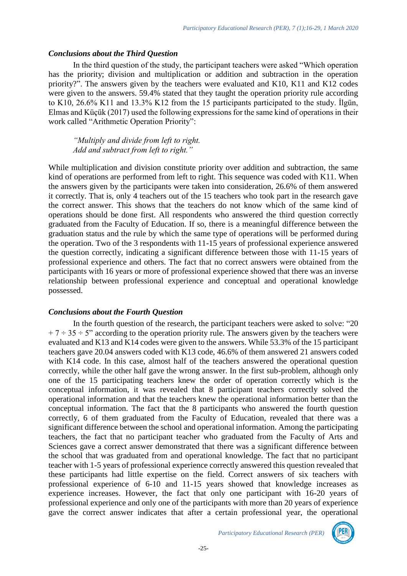#### *Conclusions about the Third Question*

In the third question of the study, the participant teachers were asked "Which operation has the priority; division and multiplication or addition and subtraction in the operation priority?". The answers given by the teachers were evaluated and K10, K11 and K12 codes were given to the answers. 59.4% stated that they taught the operation priority rule according to K10, 26.6% K11 and 13.3% K12 from the 15 participants participated to the study. İlgün, Elmas and Küçük (2017) used the following expressions for the same kind of operations in their work called "Arithmetic Operation Priority":

*"Multiply and divide from left to right. Add and subtract from left to right."*

While multiplication and division constitute priority over addition and subtraction, the same kind of operations are performed from left to right. This sequence was coded with K11. When the answers given by the participants were taken into consideration, 26.6% of them answered it correctly. That is, only 4 teachers out of the 15 teachers who took part in the research gave the correct answer. This shows that the teachers do not know which of the same kind of operations should be done first. All respondents who answered the third question correctly graduated from the Faculty of Education. If so, there is a meaningful difference between the graduation status and the rule by which the same type of operations will be performed during the operation. Two of the 3 respondents with 11-15 years of professional experience answered the question correctly, indicating a significant difference between those with 11-15 years of professional experience and others. The fact that no correct answers were obtained from the participants with 16 years or more of professional experience showed that there was an inverse relationship between professional experience and conceptual and operational knowledge possessed.

## *Conclusions about the Fourth Question*

In the fourth question of the research, the participant teachers were asked to solve: "20  $+ 7 \div 35 \div 5$ " according to the operation priority rule. The answers given by the teachers were evaluated and K13 and K14 codes were given to the answers. While 53.3% of the 15 participant teachers gave 20.04 answers coded with K13 code, 46.6% of them answered 21 answers coded with K14 code. In this case, almost half of the teachers answered the operational question correctly, while the other half gave the wrong answer. In the first sub-problem, although only one of the 15 participating teachers knew the order of operation correctly which is the conceptual information, it was revealed that 8 participant teachers correctly solved the operational information and that the teachers knew the operational information better than the conceptual information. The fact that the 8 participants who answered the fourth question correctly, 6 of them graduated from the Faculty of Education, revealed that there was a significant difference between the school and operational information. Among the participating teachers, the fact that no participant teacher who graduated from the Faculty of Arts and Sciences gave a correct answer demonstrated that there was a significant difference between the school that was graduated from and operational knowledge. The fact that no participant teacher with 1-5 years of professional experience correctly answered this question revealed that these participants had little expertise on the field. Correct answers of six teachers with professional experience of 6-10 and 11-15 years showed that knowledge increases as experience increases. However, the fact that only one participant with 16-20 years of professional experience and only one of the participants with more than 20 years of experience gave the correct answer indicates that after a certain professional year, the operational

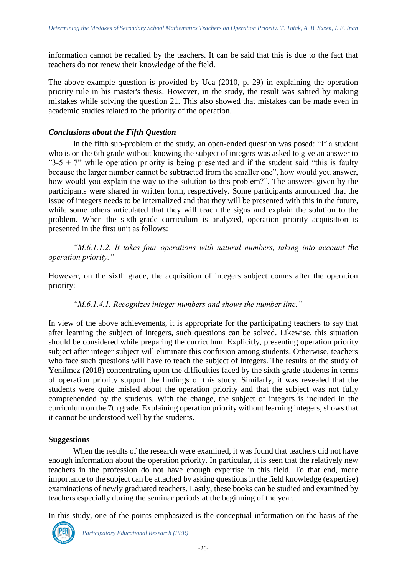information cannot be recalled by the teachers. It can be said that this is due to the fact that teachers do not renew their knowledge of the field.

The above example question is provided by Uca (2010, p. 29) in explaining the operation priority rule in his master's thesis. However, in the study, the result was sahred by making mistakes while solving the question 21. This also showed that mistakes can be made even in academic studies related to the priority of the operation.

#### *Conclusions about the Fifth Question*

In the fifth sub-problem of the study, an open-ended question was posed: "If a student who is on the 6th grade without knowing the subject of integers was asked to give an answer to  $"3-5 + 7"$  while operation priority is being presented and if the student said "this is faulty" because the larger number cannot be subtracted from the smaller one", how would you answer, how would you explain the way to the solution to this problem?". The answers given by the participants were shared in written form, respectively. Some participants announced that the issue of integers needs to be internalized and that they will be presented with this in the future, while some others articulated that they will teach the signs and explain the solution to the problem. When the sixth-grade curriculum is analyzed, operation priority acquisition is presented in the first unit as follows:

*"M.6.1.1.2. It takes four operations with natural numbers, taking into account the operation priority."*

However, on the sixth grade, the acquisition of integers subject comes after the operation priority:

*"M.6.1.4.1. Recognizes integer numbers and shows the number line."*

In view of the above achievements, it is appropriate for the participating teachers to say that after learning the subject of integers, such questions can be solved. Likewise, this situation should be considered while preparing the curriculum. Explicitly, presenting operation priority subject after integer subject will eliminate this confusion among students. Otherwise, teachers who face such questions will have to teach the subject of integers. The results of the study of Yenilmez (2018) concentrating upon the difficulties faced by the sixth grade students in terms of operation priority support the findings of this study. Similarly, it was revealed that the students were quite misled about the operation priority and that the subject was not fully comprehended by the students. With the change, the subject of integers is included in the curriculum on the 7th grade. Explaining operation priority without learning integers, shows that it cannot be understood well by the students.

## **Suggestions**

When the results of the research were examined, it was found that teachers did not have enough information about the operation priority. In particular, it is seen that the relatively new teachers in the profession do not have enough expertise in this field. To that end, more importance to the subject can be attached by asking questions in the field knowledge (expertise) examinations of newly graduated teachers. Lastly, these books can be studied and examined by teachers especially during the seminar periods at the beginning of the year.

In this study, one of the points emphasized is the conceptual information on the basis of the

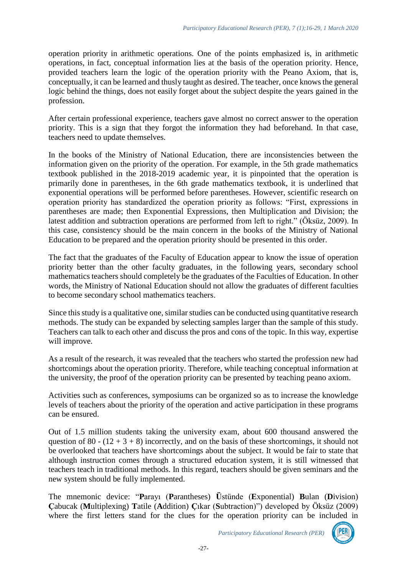operation priority in arithmetic operations. One of the points emphasized is, in arithmetic operations, in fact, conceptual information lies at the basis of the operation priority. Hence, provided teachers learn the logic of the operation priority with the Peano Axiom, that is, conceptually, it can be learned and thusly taught as desired. The teacher, once knows the general logic behind the things, does not easily forget about the subject despite the years gained in the profession.

After certain professional experience, teachers gave almost no correct answer to the operation priority. This is a sign that they forgot the information they had beforehand. In that case, teachers need to update themselves.

In the books of the Ministry of National Education, there are inconsistencies between the information given on the priority of the operation. For example, in the 5th grade mathematics textbook published in the 2018-2019 academic year, it is pinpointed that the operation is primarily done in parentheses, in the 6th grade mathematics textbook, it is underlined that exponential operations will be performed before parentheses. However, scientific research on operation priority has standardized the operation priority as follows: "First, expressions in parentheses are made; then Exponential Expressions, then Multiplication and Division; the latest addition and subtraction operations are performed from left to right." (Öksüz, 2009). In this case, consistency should be the main concern in the books of the Ministry of National Education to be prepared and the operation priority should be presented in this order.

The fact that the graduates of the Faculty of Education appear to know the issue of operation priority better than the other faculty graduates, in the following years, secondary school mathematics teachers should completely be the graduates of the Faculties of Education. In other words, the Ministry of National Education should not allow the graduates of different faculties to become secondary school mathematics teachers.

Since this study is a qualitative one, similar studies can be conducted using quantitative research methods. The study can be expanded by selecting samples larger than the sample of this study. Teachers can talk to each other and discuss the pros and cons of the topic. In this way, expertise will improve.

As a result of the research, it was revealed that the teachers who started the profession new had shortcomings about the operation priority. Therefore, while teaching conceptual information at the university, the proof of the operation priority can be presented by teaching peano axiom.

Activities such as conferences, symposiums can be organized so as to increase the knowledge levels of teachers about the priority of the operation and active participation in these programs can be ensured.

Out of 1.5 million students taking the university exam, about 600 thousand answered the question of 80 -  $(12 + 3 + 8)$  incorrectly, and on the basis of these shortcomings, it should not be overlooked that teachers have shortcomings about the subject. It would be fair to state that although instruction comes through a structured education system, it is still witnessed that teachers teach in traditional methods. In this regard, teachers should be given seminars and the new system should be fully implemented.

The mnemonic device: "**P**arayı (**P**arantheses) **Ü**stünde (**E**xponential) **B**ulan (**D**ivision) **Ç**abucak (**M**ultiplexing) **T**atile (**A**ddition) **Ç**ıkar (**S**ubtraction)") developed by Öksüz (2009) where the first letters stand for the clues for the operation priority can be included in

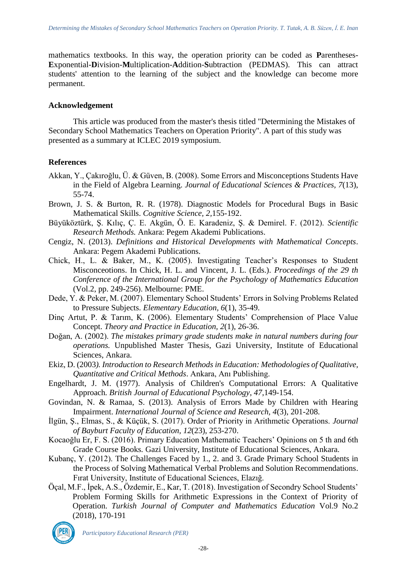mathematics textbooks. In this way, the operation priority can be coded as **P**arentheses-**E**xponential-**D**ivision-**M**ultiplication-**A**ddition-**S**ubtraction (PEDMAS). This can attract students' attention to the learning of the subject and the knowledge can become more permanent.

#### **Acknowledgement**

This article was produced from the master's thesis titled "Determining the Mistakes of Secondary School Mathematics Teachers on Operation Priority". A part of this study was presented as a summary at ICLEC 2019 symposium.

## **References**

- Akkan, Y., Çakıroğlu, Ü. & Güven, B. (2008). Some Errors and Misconceptions Students Have in the Field of Algebra Learning. *Journal of Educational Sciences & Practices, 7*(13), 55-74.
- Brown, J. S. & Burton, R. R. (1978). Diagnostic Models for Procedural Bugs in Basic Mathematical Skills. *Cognitive Science, 2,*155-192.
- Büyüköztürk, Ş. Kılıç, Ç. E. Akgün, Ö. E. Karadeniz, Ş. & Demirel. F. (2012). *Scientific Research Methods.* Ankara: Pegem Akademi Publications.
- Cengiz, N. (2013). *Definitions and Historical Developments with Mathematical Concepts*. Ankara: Pegem Akademi Publications.
- Chick, H., L. & Baker, M., K. (2005). Investigating Teacher's Responses to Student Misconceotions. In Chick, H. L. and Vincent, J. L. (Eds.). *Proceedings of the 29 th Conference of the International Group for the Psychology of Mathematics Education*  (Vol.2, pp. 249-256). Melbourne: PME.
- Dede, Y. & Peker, M. (2007). Elementary School Students' Errors in Solving Problems Related to Pressure Subjects. *Elementary Education, 6*(1), 35-49.
- Dinç Artut, P. & Tarım, K. (2006). Elementary Students' Comprehension of Place Value Concept. *Theory and Practice in Education, 2*(1), 26-36.
- Doğan, A. (2002). *The mistakes primary grade students make in natural numbers during four operations.* Unpublished Master Thesis, Gazi University, Institute of Educational Sciences, Ankara.
- Ekiz, D. (2003*). Introduction to Research Methods in Education: Methodologies of Qualitative, Quantitative and Critical Methods*. Ankara, Anı Publishing.
- Engelhardt, J. M. (1977). Analysis of Children's Computational Errors: A Qualitative Approach*. British Journal of Educational Psychology*, *47*,149-154.
- Govindan, N. & Ramaa, S. (2013). Analysis of Errors Made by Children with Hearing Impairment. *International Journal of Science and Research, 4*(3), 201-208.
- İlgün, Ş., Elmas, S., & Küçük, S. (2017). Order of Priority in Arithmetic Operations. *Journal of Bayburt Faculty of Education, 12*(23), 253-270.
- Kocaoğlu Er, F. S. (2016). Primary Education Mathematic Teachers' Opinions on 5 th and 6th Grade Course Books*.* Gazi University, Institute of Educational Sciences, Ankara.
- Kubanç, Y. (2012). The Challenges Faced by 1., 2. and 3. Grade Primary School Students in the Process of Solving Mathematical Verbal Problems and Solution Recommendations. Fırat University, Institute of Educational Sciences, Elazığ.
- Öçal, M.F., İpek, A.S., Özdemir, E., Kar, T. (2018). Investigation of Secondry School Students' Problem Forming Skills for Arithmetic Expressions in the Context of Priority of Operation. *Turkish Journal of Computer and Mathematics Education* Vol.9 No.2 (2018), 170-191